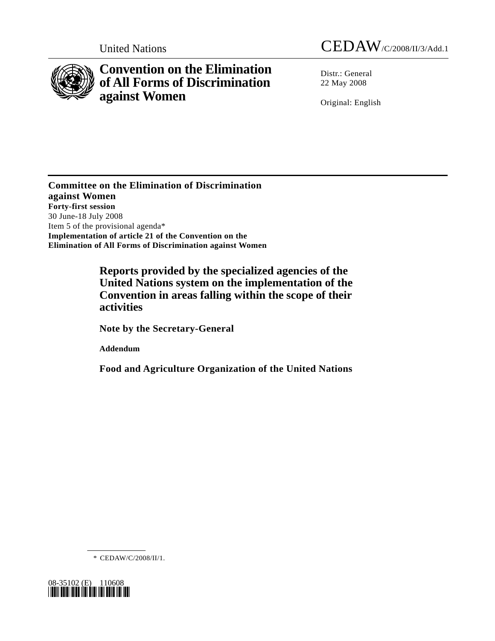

## **Convention on the Elimination of All Forms of Discrimination against Women**

United Nations CEDAW/C/2008/II/3/Add.1

Distr.: General 22 May 2008

Original: English

**Committee on the Elimination of Discrimination against Women Forty-first session**  30 June-18 July 2008 Item 5 of the provisional agenda\* **Implementation of article 21 of the Convention on the Elimination of All Forms of Discrimination against Women** 

> **Reports provided by the specialized agencies of the United Nations system on the implementation of the Convention in areas falling within the scope of their activities**

 **Note by the Secretary-General** 

 **Addendum** 

 **Food and Agriculture Organization of the United Nations** 

\* CEDAW/C/2008/II/1.

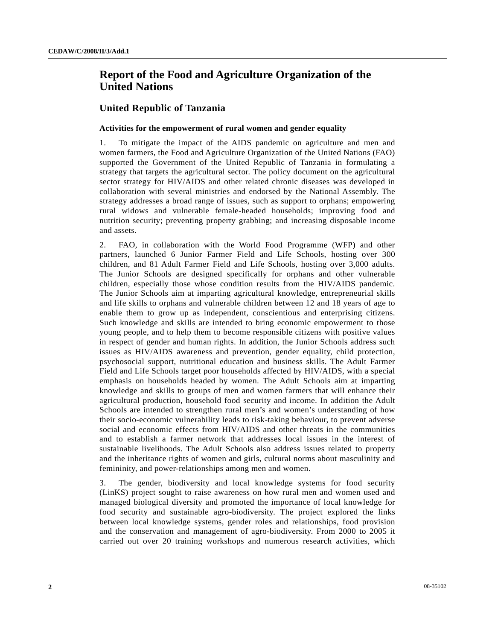## **Report of the Food and Agriculture Organization of the United Nations**

## **United Republic of Tanzania**

## **Activities for the empowerment of rural women and gender equality**

1. To mitigate the impact of the AIDS pandemic on agriculture and men and women farmers, the Food and Agriculture Organization of the United Nations (FAO) supported the Government of the United Republic of Tanzania in formulating a strategy that targets the agricultural sector. The policy document on the agricultural sector strategy for HIV/AIDS and other related chronic diseases was developed in collaboration with several ministries and endorsed by the National Assembly. The strategy addresses a broad range of issues, such as support to orphans; empowering rural widows and vulnerable female-headed households; improving food and nutrition security; preventing property grabbing; and increasing disposable income and assets.

2. FAO, in collaboration with the World Food Programme (WFP) and other partners, launched 6 Junior Farmer Field and Life Schools, hosting over 300 children, and 81 Adult Farmer Field and Life Schools, hosting over 3,000 adults. The Junior Schools are designed specifically for orphans and other vulnerable children, especially those whose condition results from the HIV/AIDS pandemic. The Junior Schools aim at imparting agricultural knowledge, entrepreneurial skills and life skills to orphans and vulnerable children between 12 and 18 years of age to enable them to grow up as independent, conscientious and enterprising citizens. Such knowledge and skills are intended to bring economic empowerment to those young people, and to help them to become responsible citizens with positive values in respect of gender and human rights. In addition, the Junior Schools address such issues as HIV/AIDS awareness and prevention, gender equality, child protection, psychosocial support, nutritional education and business skills. The Adult Farmer Field and Life Schools target poor households affected by HIV/AIDS, with a special emphasis on households headed by women. The Adult Schools aim at imparting knowledge and skills to groups of men and women farmers that will enhance their agricultural production, household food security and income. In addition the Adult Schools are intended to strengthen rural men's and women's understanding of how their socio-economic vulnerability leads to risk-taking behaviour, to prevent adverse social and economic effects from HIV/AIDS and other threats in the communities and to establish a farmer network that addresses local issues in the interest of sustainable livelihoods. The Adult Schools also address issues related to property and the inheritance rights of women and girls, cultural norms about masculinity and femininity, and power-relationships among men and women.

3. The gender, biodiversity and local knowledge systems for food security (LinKS) project sought to raise awareness on how rural men and women used and managed biological diversity and promoted the importance of local knowledge for food security and sustainable agro-biodiversity. The project explored the links between local knowledge systems, gender roles and relationships, food provision and the conservation and management of agro-biodiversity. From 2000 to 2005 it carried out over 20 training workshops and numerous research activities, which